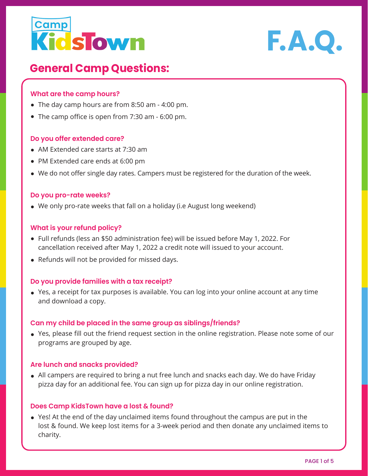



# **General Camp Questions:**

## **What are the camp hours?**

- The day camp hours are from 8:50 am 4:00 pm.
- The camp office is open from 7:30 am 6:00 pm.

### **Do you offer extended care?**

- AM Extended care starts at 7:30 am
- PM Extended care ends at 6:00 pm
- We do not offer single day rates. Campers must be registered for the duration of the week.

### **Do you pro-rate weeks?**

We only pro-rate weeks that fall on a holiday (i.e August long weekend)

### **What is your refund policy?**

- Full refunds (less an \$50 administration fee) will be issued before May 1, 2022. For cancellation received after May 1, 2022 a credit note will issued to your account.
- Refunds will not be provided for missed days.

### **Do you provide families with a tax receipt?**

Yes, a receipt for tax purposes is available. You can log into your online account at any time and download a copy.

### **Can my child be placed in the same group as siblings/friends?**

Yes, please fill out the friend request section in the online registration. Please note some of our programs are grouped by age.

### **Are lunch and snacks provided?**

All campers are required to bring a nut free lunch and snacks each day. We do have Friday pizza day for an additional fee. You can sign up for pizza day in our online registration.

### **Does Camp KidsTown have a lost & found?**

Yes! At the end of the day unclaimed items found throughout the campus are put in the lost & found. We keep lost items for a 3-week period and then donate any unclaimed items to charity.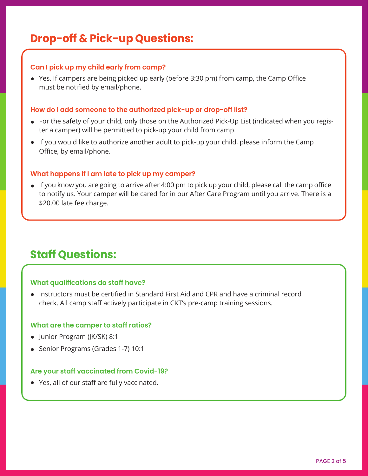# **Drop-off & Pick-up Questions:**

# **Can I pick up my child early from camp?**

Yes. If campers are being picked up early (before 3:30 pm) from camp, the Camp Office must be notified by email/phone.

## **How do I add someone to the authorized pick-up or drop-off list?**

- For the safety of your child, only those on the Authorized Pick-Up List (indicated when you register a camper) will be permitted to pick-up your child from camp.
- If you would like to authorize another adult to pick-up your child, please inform the Camp Office, by email/phone.

# **What happens if I am late to pick up my camper?**

If you know you are going to arrive after 4:00 pm to pick up your child, please call the camp office to notify us. Your camper will be cared for in our After Care Program until you arrive. There is a \$20.00 late fee charge.

# **Staff Questions:**

# **What qualifications do staff have?**

Instructors must be certified in Standard First Aid and CPR and have a criminal record check. All camp staff actively participate in CKT's pre-camp training sessions.

### **What are the camper to staff ratios?**

- Junior Program (JK/SK) 8:1
- Senior Programs (Grades 1-7) 10:1

# **Are your staff vaccinated from Covid-19?**

Yes, all of our staff are fully vaccinated.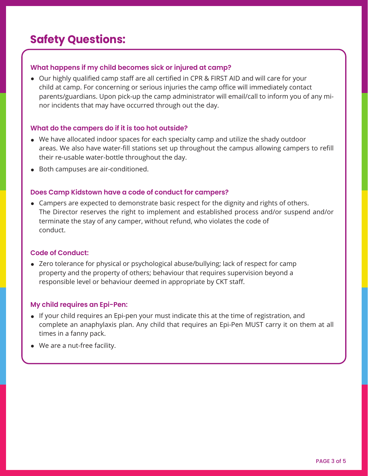# **Safety Questions:**

# **What happens if my child becomes sick or injured at camp?**

Our highly qualified camp staff are all certified in CPR & FIRST AID and will care for your child at camp. For concerning or serious injuries the camp office will immediately contact parents/guardians. Upon pick-up the camp administrator will email/call to inform you of any minor incidents that may have occurred through out the day.

# **What do the campers do if it is too hot outside?**

- We have allocated indoor spaces for each specialty camp and utilize the shady outdoor areas. We also have water-fill stations set up throughout the campus allowing campers to refill their re-usable water-bottle throughout the day.
- Both campuses are air-conditioned.

# **Does Camp Kidstown have a code of conduct for campers?**

Campers are expected to demonstrate basic respect for the dignity and rights of others. The Director reserves the right to implement and established process and/or suspend and/or terminate the stay of any camper, without refund, who violates the code of conduct.

# **Code of Conduct:**

Zero tolerance for physical or psychological abuse/bullying; lack of respect for camp property and the property of others; behaviour that requires supervision beyond a responsible level or behaviour deemed in appropriate by CKT staff.

# **My child requires an Epi-Pen:**

- If your child requires an Epi-pen your must indicate this at the time of registration, and complete an anaphylaxis plan. Any child that requires an Epi-Pen MUST carry it on them at all times in a fanny pack.
- We are a nut-free facility.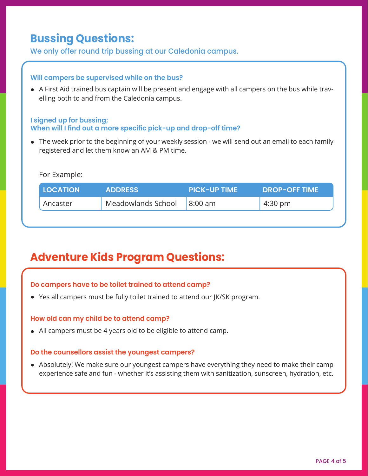# **Bussing Questions:**

We only offer round trip bussing at our Caledonia campus.

## **Will campers be supervised while on the bus?**

A First Aid trained bus captain will be present and engage with all campers on the bus while travelling both to and from the Caledonia campus.

## **I signed up for bussing; When will I find out a more specific pick-up and drop-off time?**

The week prior to the beginning of your weekly session - we will send out an email to each family registered and let them know an AM & PM time.

# For Example:

| <b>LOCATION</b> | <b>ADDRESS</b>     | <b>PICK-UP TIME</b> | <b>DROP-OFF TIME</b> |
|-----------------|--------------------|---------------------|----------------------|
| Ancaster        | Meadowlands School | $8:00 \text{ am}$   | 4:30 pm              |

# **Adventure Kids Program Questions:**

# **Do campers have to be toilet trained to attend camp?**

Yes all campers must be fully toilet trained to attend our JK/SK program.

# **How old can my child be to attend camp?**

All campers must be 4 years old to be eligible to attend camp.

### **Do the counsellors assist the youngest campers?**

Absolutely! We make sure our youngest campers have everything they need to make their camp experience safe and fun - whether it's assisting them with sanitization, sunscreen, hydration, etc.